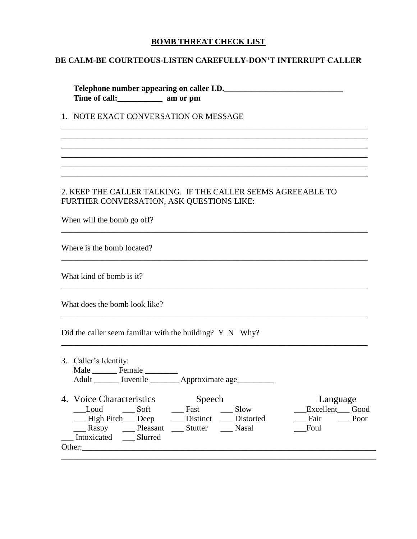#### **BOMB THREAT CHECK LIST**

#### **BE CALM-BE COURTEOUS-LISTEN CAREFULLY-DON'T INTERRUPT CALLER**

**Telephone number appearing on caller I.D.\_\_\_\_\_\_\_\_\_\_\_\_\_\_\_\_\_\_\_\_\_\_\_\_\_\_\_\_\_ Time of call:\_\_\_\_\_\_\_\_\_\_\_ am or pm**

\_\_\_\_\_\_\_\_\_\_\_\_\_\_\_\_\_\_\_\_\_\_\_\_\_\_\_\_\_\_\_\_\_\_\_\_\_\_\_\_\_\_\_\_\_\_\_\_\_\_\_\_\_\_\_\_\_\_\_\_\_\_\_\_\_\_\_\_\_\_\_\_\_\_\_ \_\_\_\_\_\_\_\_\_\_\_\_\_\_\_\_\_\_\_\_\_\_\_\_\_\_\_\_\_\_\_\_\_\_\_\_\_\_\_\_\_\_\_\_\_\_\_\_\_\_\_\_\_\_\_\_\_\_\_\_\_\_\_\_\_\_\_\_\_\_\_\_\_\_\_ \_\_\_\_\_\_\_\_\_\_\_\_\_\_\_\_\_\_\_\_\_\_\_\_\_\_\_\_\_\_\_\_\_\_\_\_\_\_\_\_\_\_\_\_\_\_\_\_\_\_\_\_\_\_\_\_\_\_\_\_\_\_\_\_\_\_\_\_\_\_\_\_\_\_\_

\_\_\_\_\_\_\_\_\_\_\_\_\_\_\_\_\_\_\_\_\_\_\_\_\_\_\_\_\_\_\_\_\_\_\_\_\_\_\_\_\_\_\_\_\_\_\_\_\_\_\_\_\_\_\_\_\_\_\_\_\_\_\_\_\_\_\_\_\_\_\_\_\_\_\_ \_\_\_\_\_\_\_\_\_\_\_\_\_\_\_\_\_\_\_\_\_\_\_\_\_\_\_\_\_\_\_\_\_\_\_\_\_\_\_\_\_\_\_\_\_\_\_\_\_\_\_\_\_\_\_\_\_\_\_\_\_\_\_\_\_\_\_\_\_\_\_\_\_\_\_

\_\_\_\_\_\_\_\_\_\_\_\_\_\_\_\_\_\_\_\_\_\_\_\_\_\_\_\_\_\_\_\_\_\_\_\_\_\_\_\_\_\_\_\_\_\_\_\_\_\_\_\_\_\_\_\_\_\_\_\_\_\_\_\_\_\_\_\_\_\_\_\_\_\_\_

\_\_\_\_\_\_\_\_\_\_\_\_\_\_\_\_\_\_\_\_\_\_\_\_\_\_\_\_\_\_\_\_\_\_\_\_\_\_\_\_\_\_\_\_\_\_\_\_\_\_\_\_\_\_\_\_\_\_\_\_\_\_\_\_\_\_\_\_\_\_\_\_\_\_\_

\_\_\_\_\_\_\_\_\_\_\_\_\_\_\_\_\_\_\_\_\_\_\_\_\_\_\_\_\_\_\_\_\_\_\_\_\_\_\_\_\_\_\_\_\_\_\_\_\_\_\_\_\_\_\_\_\_\_\_\_\_\_\_\_\_\_\_\_\_\_\_\_\_\_\_

\_\_\_\_\_\_\_\_\_\_\_\_\_\_\_\_\_\_\_\_\_\_\_\_\_\_\_\_\_\_\_\_\_\_\_\_\_\_\_\_\_\_\_\_\_\_\_\_\_\_\_\_\_\_\_\_\_\_\_\_\_\_\_\_\_\_\_\_\_\_\_\_\_\_\_

\_\_\_\_\_\_\_\_\_\_\_\_\_\_\_\_\_\_\_\_\_\_\_\_\_\_\_\_\_\_\_\_\_\_\_\_\_\_\_\_\_\_\_\_\_\_\_\_\_\_\_\_\_\_\_\_\_\_\_\_\_\_\_\_\_\_\_\_\_\_\_\_\_\_\_

## 1. NOTE EXACT CONVERSATION OR MESSAGE

## 2. KEEP THE CALLER TALKING. IF THE CALLER SEEMS AGREEABLE TO FURTHER CONVERSATION, ASK QUESTIONS LIKE:

When will the bomb go off?

Where is the bomb located?

What kind of bomb is it?

What does the bomb look like?

Did the caller seem familiar with the building? Y N Why?

| 3. Caller's Identity:<br>Male Female                                                                                            | Adult _________ Juvenile __________ Approximate age__________       |                                                       |
|---------------------------------------------------------------------------------------------------------------------------------|---------------------------------------------------------------------|-------------------------------------------------------|
| 4. Voice Characteristics<br>Soft<br>Loud<br>- High Pitch Deep<br>Pleasant<br>$\equiv$ Raspy<br>Intoxicated<br>Slurred<br>Other: | Speech<br>Slow<br>Fast<br>Distinct<br>Distorted<br>Stutter<br>Nasal | Language<br>Excellent<br>Good<br>Fair<br>Poor<br>Foul |